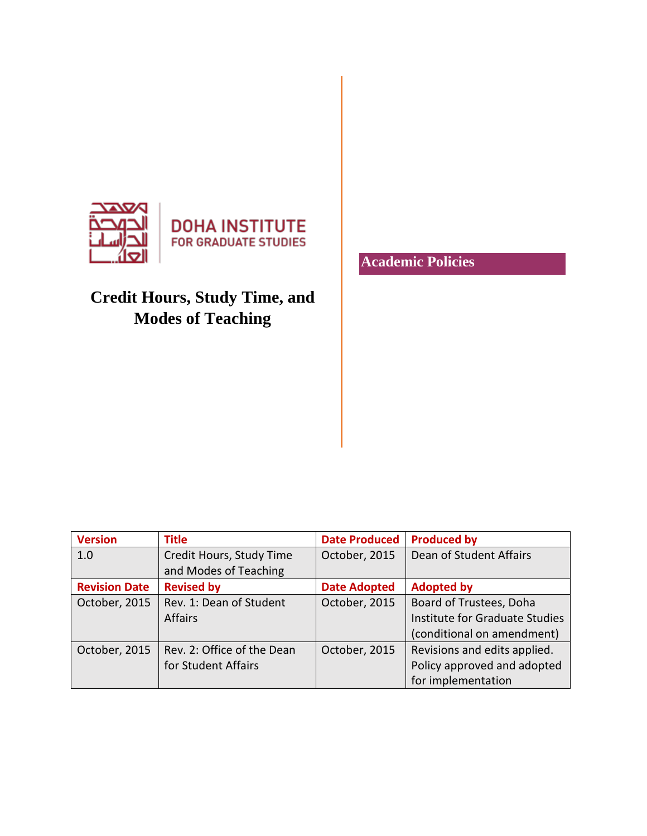

# **Credit Hours, Study Time, and Modes of Teaching**

**Version Title Date Produced Produced by** 1.0 Credit Hours, Study Time and Modes of Teaching October, 2015 | Dean of Student Affairs **Revision Date** Revised by **Date Adopted** Adopted by October, 2015 | Rev. 1: Dean of Student Affairs October, 2015 | Board of Trustees, Doha Institute for Graduate Studies (conditional on amendment) October, 2015 | Rev. 2: Office of the Dean for Student Affairs October, 2015  $\vert$  Revisions and edits applied. Policy approved and adopted for implementation

**Academic Policies**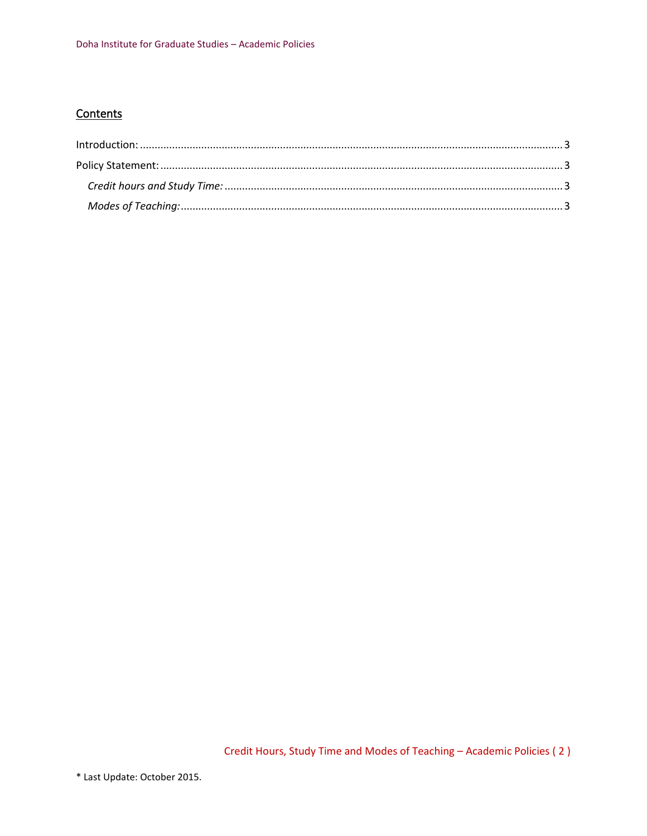# Contents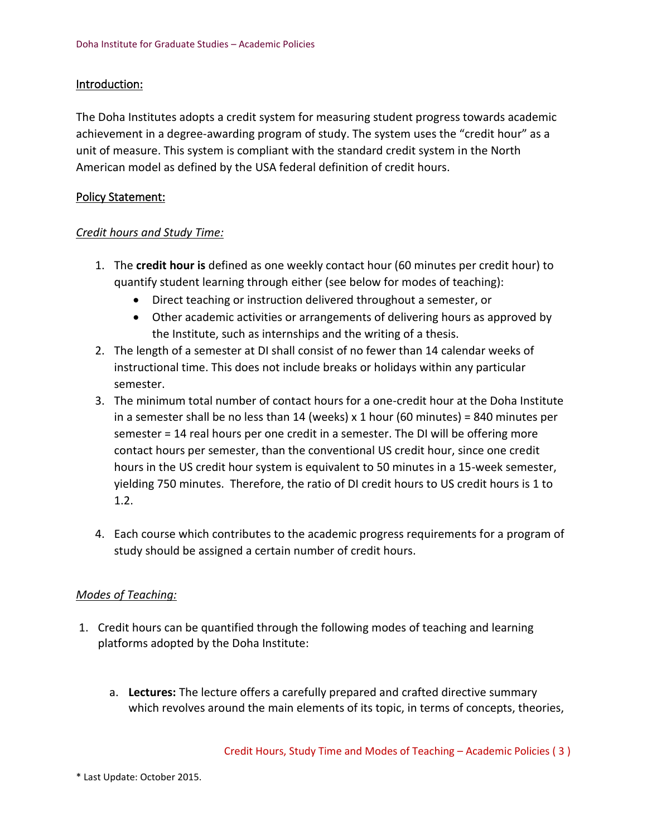## <span id="page-2-0"></span>Introduction:

The Doha Institutes adopts a credit system for measuring student progress towards academic achievement in a degree-awarding program of study. The system uses the "credit hour" as a unit of measure. This system is compliant with the standard credit system in the North American model as defined by the USA federal definition of credit hours.

#### <span id="page-2-1"></span>Policy Statement:

#### <span id="page-2-2"></span>*Credit hours and Study Time:*

- 1. The **credit hour is** defined as one weekly contact hour (60 minutes per credit hour) to quantify student learning through either (see below for modes of teaching):
	- Direct teaching or instruction delivered throughout a semester, or
	- Other academic activities or arrangements of delivering hours as approved by the Institute, such as internships and the writing of a thesis.
- 2. The length of a semester at DI shall consist of no fewer than 14 calendar weeks of instructional time. This does not include breaks or holidays within any particular semester.
- 3. The minimum total number of contact hours for a one-credit hour at the Doha Institute in a semester shall be no less than 14 (weeks) x 1 hour (60 minutes) = 840 minutes per semester = 14 real hours per one credit in a semester. The DI will be offering more contact hours per semester, than the conventional US credit hour, since one credit hours in the US credit hour system is equivalent to 50 minutes in a 15-week semester, yielding 750 minutes. Therefore, the ratio of DI credit hours to US credit hours is 1 to 1.2.
- 4. Each course which contributes to the academic progress requirements for a program of study should be assigned a certain number of credit hours.

## <span id="page-2-3"></span>*Modes of Teaching:*

- 1. Credit hours can be quantified through the following modes of teaching and learning platforms adopted by the Doha Institute:
	- a. **Lectures:** The lecture offers a carefully prepared and crafted directive summary which revolves around the main elements of its topic, in terms of concepts, theories,